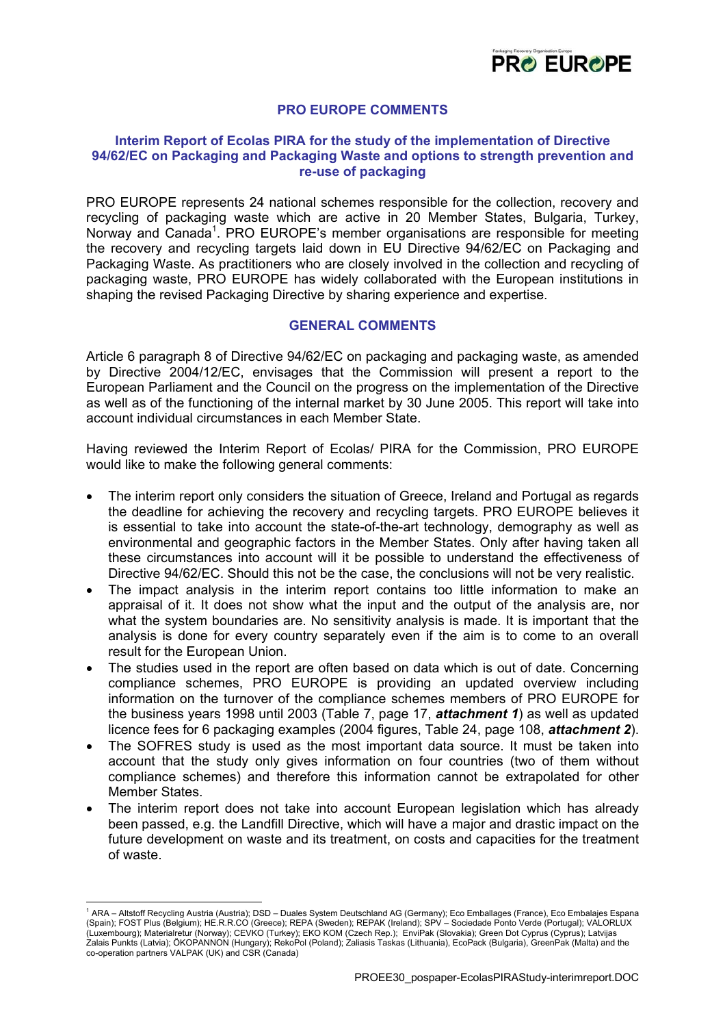

# **PRO EUROPE COMMENTS**

## **Interim Report of Ecolas PIRA for the study of the implementation of Directive 94/62/EC on Packaging and Packaging Waste and options to strength prevention and re-use of packaging**

PRO EUROPE represents 24 national schemes responsible for the collection, recovery and recycling of packaging waste which are active in 20 Member States, Bulgaria, Turkey, Norway and Canada<sup>[1](#page-0-0)</sup>. PRO EUROPE's member organisations are responsible for meeting the recovery and recycling targets laid down in EU Directive 94/62/EC on Packaging and Packaging Waste. As practitioners who are closely involved in the collection and recycling of packaging waste, PRO EUROPE has widely collaborated with the European institutions in shaping the revised Packaging Directive by sharing experience and expertise.

## **GENERAL COMMENTS**

Article 6 paragraph 8 of Directive 94/62/EC on packaging and packaging waste, as amended by Directive 2004/12/EC, envisages that the Commission will present a report to the European Parliament and the Council on the progress on the implementation of the Directive as well as of the functioning of the internal market by 30 June 2005. This report will take into account individual circumstances in each Member State.

Having reviewed the Interim Report of Ecolas/ PIRA for the Commission, PRO EUROPE would like to make the following general comments:

- The interim report only considers the situation of Greece, Ireland and Portugal as regards the deadline for achieving the recovery and recycling targets. PRO EUROPE believes it is essential to take into account the state-of-the-art technology, demography as well as environmental and geographic factors in the Member States. Only after having taken all these circumstances into account will it be possible to understand the effectiveness of Directive 94/62/EC. Should this not be the case, the conclusions will not be very realistic.
- The impact analysis in the interim report contains too little information to make an appraisal of it. It does not show what the input and the output of the analysis are, nor what the system boundaries are. No sensitivity analysis is made. It is important that the analysis is done for every country separately even if the aim is to come to an overall result for the European Union.
- The studies used in the report are often based on data which is out of date. Concerning compliance schemes, PRO EUROPE is providing an updated overview including information on the turnover of the compliance schemes members of PRO EUROPE for the business years 1998 until 2003 (Table 7, page 17, *attachment 1*) as well as updated licence fees for 6 packaging examples (2004 figures, Table 24, page 108, *attachment 2*).
- The SOFRES study is used as the most important data source. It must be taken into account that the study only gives information on four countries (two of them without compliance schemes) and therefore this information cannot be extrapolated for other Member States.
- The interim report does not take into account European legislation which has already been passed, e.g. the Landfill Directive, which will have a major and drastic impact on the future development on waste and its treatment, on costs and capacities for the treatment of waste.

<u>.</u>

<span id="page-0-0"></span><sup>1</sup> ARA – Altstoff Recycling Austria (Austria); DSD – Duales System Deutschland AG (Germany); Eco Emballages (France), Eco Embalajes Espana (Spain); FOST Plus (Belgium); HE.R.R.CO (Greece); REPA (Sweden); REPAK (Ireland); SPV – Sociedade Ponto Verde (Portugal); VALORLUX (Luxembourg); Materialretur (Norway); CEVKO (Turkey); EKO KOM (Czech Rep.); EnviPak (Slovakia); Green Dot Cyprus (Cyprus); Latvijas Zalais Punkts (Latvia); ÖKOPANNON (Hungary); RekoPol (Poland); Zaliasis Taskas (Lithuania), EcoPack (Bulgaria), GreenPak (Malta) and the co-operation partners VALPAK (UK) and CSR (Canada)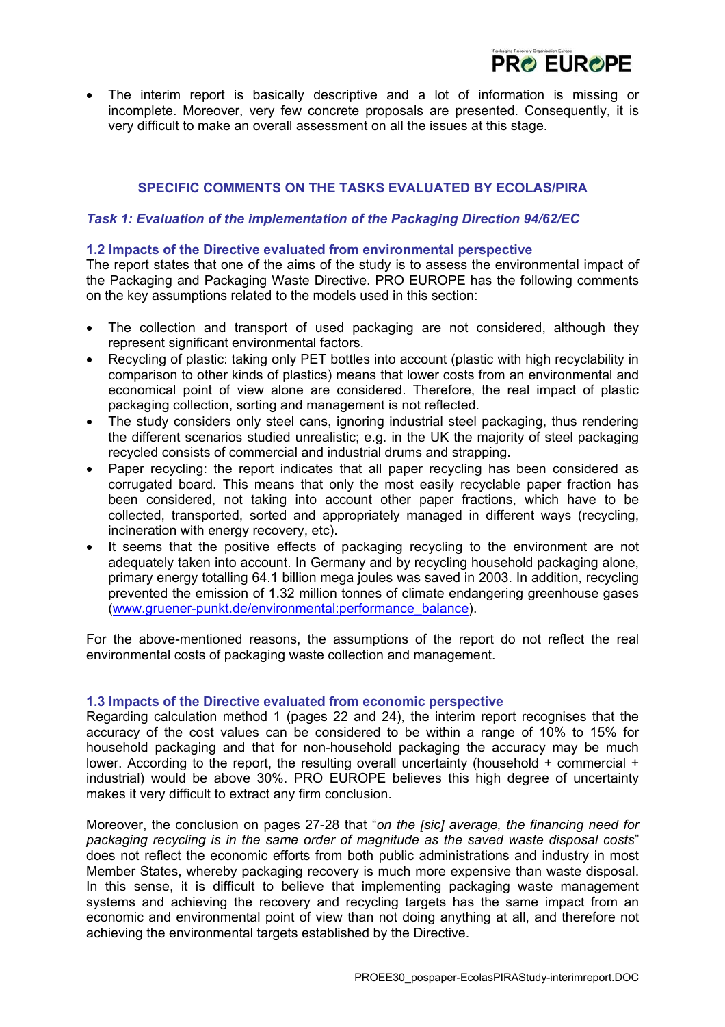

• The interim report is basically descriptive and a lot of information is missing or incomplete. Moreover, very few concrete proposals are presented. Consequently, it is very difficult to make an overall assessment on all the issues at this stage.

# **SPECIFIC COMMENTS ON THE TASKS EVALUATED BY ECOLAS/PIRA**

### *Task 1: Evaluation of the implementation of the Packaging Direction 94/62/EC*

### **1.2 Impacts of the Directive evaluated from environmental perspective**

The report states that one of the aims of the study is to assess the environmental impact of the Packaging and Packaging Waste Directive. PRO EUROPE has the following comments on the key assumptions related to the models used in this section:

- The collection and transport of used packaging are not considered, although they represent significant environmental factors.
- Recycling of plastic: taking only PET bottles into account (plastic with high recyclability in comparison to other kinds of plastics) means that lower costs from an environmental and economical point of view alone are considered. Therefore, the real impact of plastic packaging collection, sorting and management is not reflected.
- The study considers only steel cans, ignoring industrial steel packaging, thus rendering the different scenarios studied unrealistic; e.g. in the UK the majority of steel packaging recycled consists of commercial and industrial drums and strapping.
- Paper recycling: the report indicates that all paper recycling has been considered as corrugated board. This means that only the most easily recyclable paper fraction has been considered, not taking into account other paper fractions, which have to be collected, transported, sorted and appropriately managed in different ways (recycling, incineration with energy recovery, etc).
- It seems that the positive effects of packaging recycling to the environment are not adequately taken into account. In Germany and by recycling household packaging alone, primary energy totalling 64.1 billion mega joules was saved in 2003. In addition, recycling prevented the emission of 1.32 million tonnes of climate endangering greenhouse gases ([www.gruener-punkt.de/environmental:performance\\_balance\)](http://www.gruener-punkt.de/environmental:performance_balance).

For the above-mentioned reasons, the assumptions of the report do not reflect the real environmental costs of packaging waste collection and management.

#### **1.3 Impacts of the Directive evaluated from economic perspective**

Regarding calculation method 1 (pages 22 and 24), the interim report recognises that the accuracy of the cost values can be considered to be within a range of 10% to 15% for household packaging and that for non-household packaging the accuracy may be much lower. According to the report, the resulting overall uncertainty (household + commercial + industrial) would be above 30%. PRO EUROPE believes this high degree of uncertainty makes it very difficult to extract any firm conclusion.

Moreover, the conclusion on pages 27-28 that "*on the [sic] average, the financing need for packaging recycling is in the same order of magnitude as the saved waste disposal costs*" does not reflect the economic efforts from both public administrations and industry in most Member States, whereby packaging recovery is much more expensive than waste disposal. In this sense, it is difficult to believe that implementing packaging waste management systems and achieving the recovery and recycling targets has the same impact from an economic and environmental point of view than not doing anything at all, and therefore not achieving the environmental targets established by the Directive.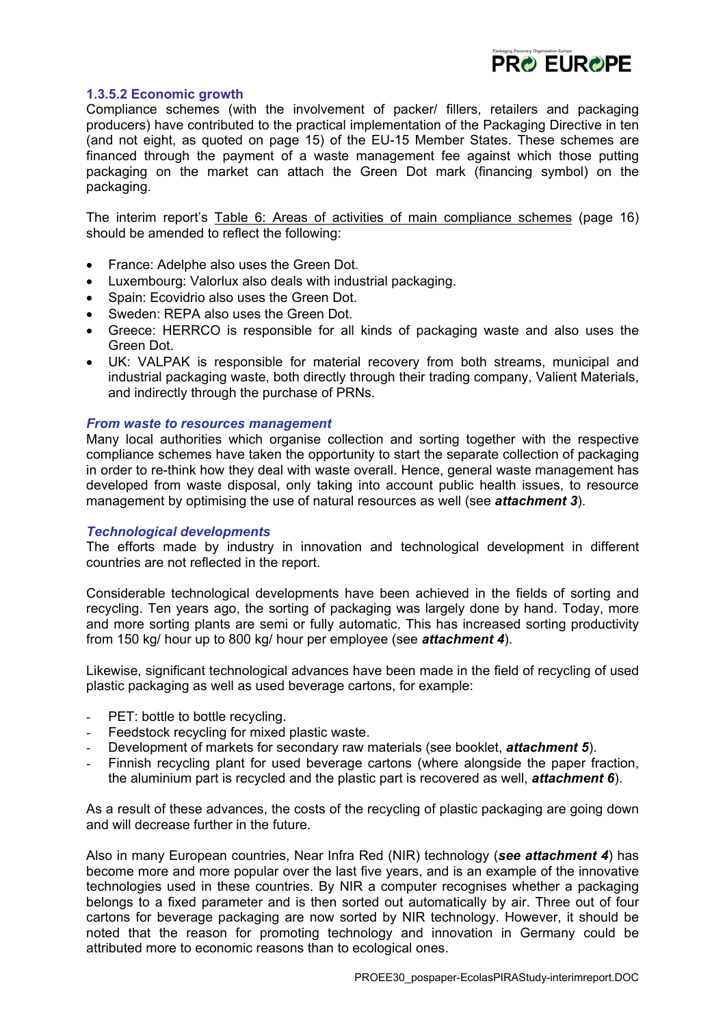

## **1.3.5.2 Economic growth**

Compliance schemes (with the involvement of packer/ fillers, retailers and packaging producers) have contributed to the practical implementation of the Packaging Directive in ten (and not eight, as quoted on page 15) of the EU-15 Member States. These schemes are financed through the payment of a waste management fee against which those putting packaging on the market can attach the Green Dot mark (financing symbol) on the packaging.

The interim report's Table 6: Areas of activities of main compliance schemes (page 16) should be amended to reflect the following:

- France: Adelphe also uses the Green Dot.
- Luxembourg: Valorlux also deals with industrial packaging.
- Spain: Ecovidrio also uses the Green Dot.
- Sweden: REPA also uses the Green Dot.
- Greece: HERRCO is responsible for all kinds of packaging waste and also uses the Green Dot.
- UK: VALPAK is responsible for material recovery from both streams, municipal and industrial packaging waste, both directly through their trading company, Valient Materials, and indirectly through the purchase of PRNs.

### *From waste to resources management*

Many local authorities which organise collection and sorting together with the respective compliance schemes have taken the opportunity to start the separate collection of packaging in order to re-think how they deal with waste overall. Hence, general waste management has developed from waste disposal, only taking into account public health issues, to resource management by optimising the use of natural resources as well (see *attachment 3*).

## *Technological developments*

The efforts made by industry in innovation and technological development in different countries are not reflected in the report.

Considerable technological developments have been achieved in the fields of sorting and recycling. Ten years ago, the sorting of packaging was largely done by hand. Today, more and more sorting plants are semi or fully automatic. This has increased sorting productivity from 150 kg/ hour up to 800 kg/ hour per employee (see *attachment 4*).

Likewise, significant technological advances have been made in the field of recycling of used plastic packaging as well as used beverage cartons, for example:

- PET: bottle to bottle recycling.
- Feedstock recycling for mixed plastic waste.
- Development of markets for secondary raw materials (see booklet, *attachment 5*).
- Finnish recycling plant for used beverage cartons (where alongside the paper fraction, the aluminium part is recycled and the plastic part is recovered as well, *attachment 6*).

As a result of these advances, the costs of the recycling of plastic packaging are going down and will decrease further in the future.

Also in many European countries, Near Infra Red (NIR) technology (*see attachment 4*) has become more and more popular over the last five years, and is an example of the innovative technologies used in these countries. By NIR a computer recognises whether a packaging belongs to a fixed parameter and is then sorted out automatically by air. Three out of four cartons for beverage packaging are now sorted by NIR technology. However, it should be noted that the reason for promoting technology and innovation in Germany could be attributed more to economic reasons than to ecological ones.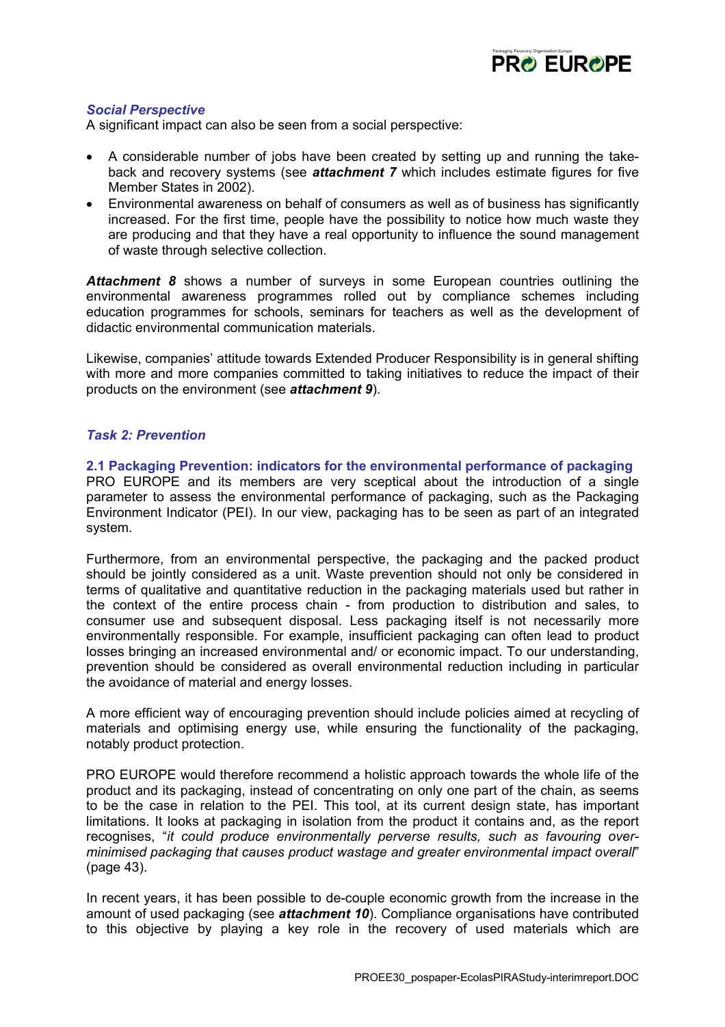

# *Social Perspective*

A significant impact can also be seen from a social perspective:

- A considerable number of jobs have been created by setting up and running the takeback and recovery systems (see *attachment 7* which includes estimate figures for five Member States in 2002).
- Environmental awareness on behalf of consumers as well as of business has significantly increased. For the first time, people have the possibility to notice how much waste they are producing and that they have a real opportunity to influence the sound management of waste through selective collection.

*Attachment 8* shows a number of surveys in some European countries outlining the environmental awareness programmes rolled out by compliance schemes including education programmes for schools, seminars for teachers as well as the development of didactic environmental communication materials.

Likewise, companies' attitude towards Extended Producer Responsibility is in general shifting with more and more companies committed to taking initiatives to reduce the impact of their products on the environment (see *attachment 9*).

## *Task 2: Prevention*

**2.1 Packaging Prevention: indicators for the environmental performance of packaging**  PRO EUROPE and its members are very sceptical about the introduction of a single parameter to assess the environmental performance of packaging, such as the Packaging Environment Indicator (PEI). In our view, packaging has to be seen as part of an integrated system.

Furthermore, from an environmental perspective, the packaging and the packed product should be jointly considered as a unit. Waste prevention should not only be considered in terms of qualitative and quantitative reduction in the packaging materials used but rather in the context of the entire process chain - from production to distribution and sales, to consumer use and subsequent disposal. Less packaging itself is not necessarily more environmentally responsible. For example, insufficient packaging can often lead to product losses bringing an increased environmental and/ or economic impact. To our understanding, prevention should be considered as overall environmental reduction including in particular the avoidance of material and energy losses.

A more efficient way of encouraging prevention should include policies aimed at recycling of materials and optimising energy use, while ensuring the functionality of the packaging, notably product protection.

PRO EUROPE would therefore recommend a holistic approach towards the whole life of the product and its packaging, instead of concentrating on only one part of the chain, as seems to be the case in relation to the PEI. This tool, at its current design state, has important limitations. It looks at packaging in isolation from the product it contains and, as the report recognises, "*it could produce environmentally perverse results, such as favouring overminimised packaging that causes product wastage and greater environmental impact overall*" (page 43).

In recent years, it has been possible to de-couple economic growth from the increase in the amount of used packaging (see *attachment 10*). Compliance organisations have contributed to this objective by playing a key role in the recovery of used materials which are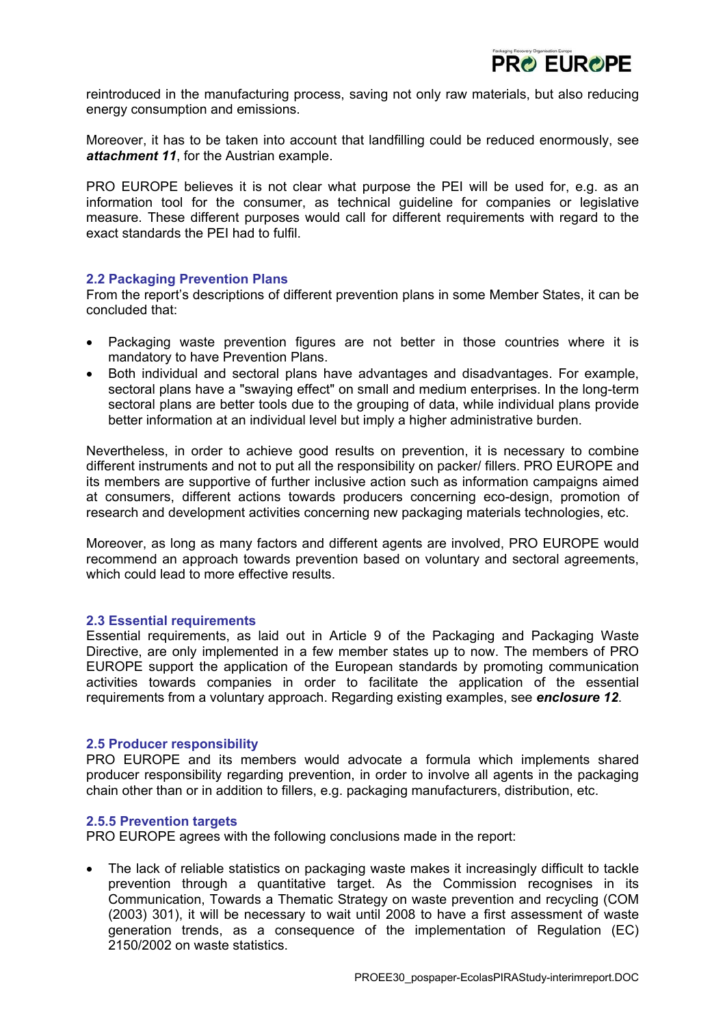

reintroduced in the manufacturing process, saving not only raw materials, but also reducing energy consumption and emissions.

Moreover, it has to be taken into account that landfilling could be reduced enormously, see *attachment 11*, for the Austrian example.

PRO EUROPE believes it is not clear what purpose the PEI will be used for, e.g. as an information tool for the consumer, as technical guideline for companies or legislative measure. These different purposes would call for different requirements with regard to the exact standards the PEI had to fulfil.

### **2.2 Packaging Prevention Plans**

From the report's descriptions of different prevention plans in some Member States, it can be concluded that:

- Packaging waste prevention figures are not better in those countries where it is mandatory to have Prevention Plans.
- Both individual and sectoral plans have advantages and disadvantages. For example, sectoral plans have a "swaying effect" on small and medium enterprises. In the long-term sectoral plans are better tools due to the grouping of data, while individual plans provide better information at an individual level but imply a higher administrative burden.

Nevertheless, in order to achieve good results on prevention, it is necessary to combine different instruments and not to put all the responsibility on packer/ fillers. PRO EUROPE and its members are supportive of further inclusive action such as information campaigns aimed at consumers, different actions towards producers concerning eco-design, promotion of research and development activities concerning new packaging materials technologies, etc.

Moreover, as long as many factors and different agents are involved, PRO EUROPE would recommend an approach towards prevention based on voluntary and sectoral agreements, which could lead to more effective results.

#### **2.3 Essential requirements**

Essential requirements, as laid out in Article 9 of the Packaging and Packaging Waste Directive, are only implemented in a few member states up to now. The members of PRO EUROPE support the application of the European standards by promoting communication activities towards companies in order to facilitate the application of the essential requirements from a voluntary approach. Regarding existing examples, see *enclosure 12*.

#### **2.5 Producer responsibility**

PRO EUROPE and its members would advocate a formula which implements shared producer responsibility regarding prevention, in order to involve all agents in the packaging chain other than or in addition to fillers, e.g. packaging manufacturers, distribution, etc.

#### **2.5.5 Prevention targets**

PRO EUROPE agrees with the following conclusions made in the report:

• The lack of reliable statistics on packaging waste makes it increasingly difficult to tackle prevention through a quantitative target. As the Commission recognises in its Communication, Towards a Thematic Strategy on waste prevention and recycling (COM (2003) 301), it will be necessary to wait until 2008 to have a first assessment of waste generation trends, as a consequence of the implementation of Regulation (EC) 2150/2002 on waste statistics.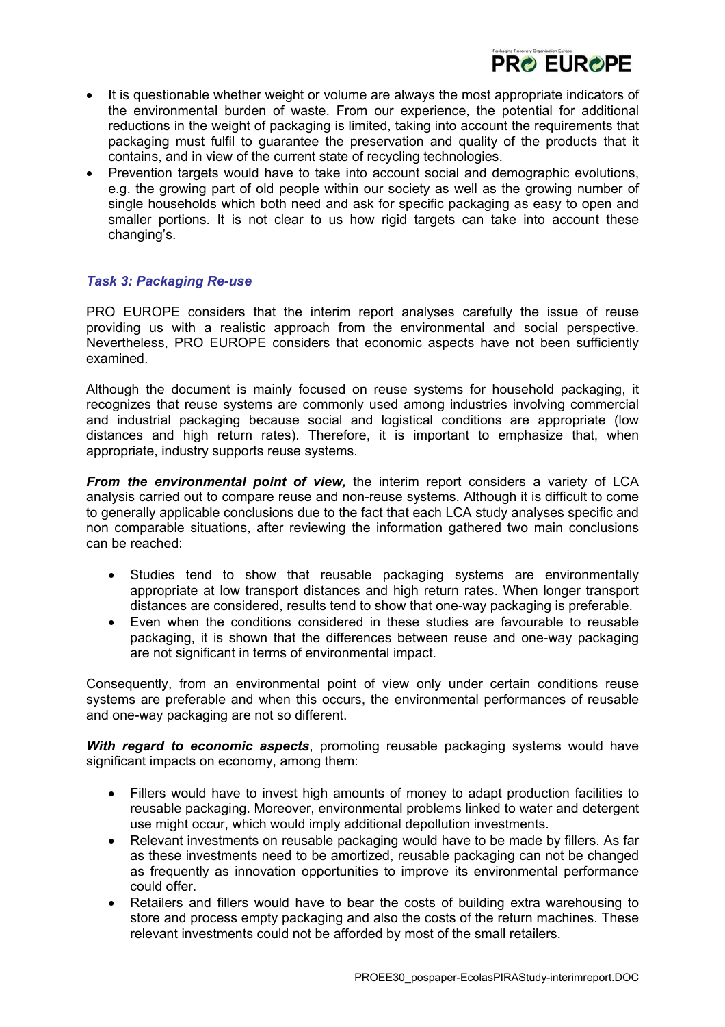

- It is questionable whether weight or volume are always the most appropriate indicators of the environmental burden of waste. From our experience, the potential for additional reductions in the weight of packaging is limited, taking into account the requirements that packaging must fulfil to guarantee the preservation and quality of the products that it contains, and in view of the current state of recycling technologies.
- Prevention targets would have to take into account social and demographic evolutions, e.g. the growing part of old people within our society as well as the growing number of single households which both need and ask for specific packaging as easy to open and smaller portions. It is not clear to us how rigid targets can take into account these changing's.

# *Task 3: Packaging Re-use*

PRO EUROPE considers that the interim report analyses carefully the issue of reuse providing us with a realistic approach from the environmental and social perspective. Nevertheless, PRO EUROPE considers that economic aspects have not been sufficiently examined.

Although the document is mainly focused on reuse systems for household packaging, it recognizes that reuse systems are commonly used among industries involving commercial and industrial packaging because social and logistical conditions are appropriate (low distances and high return rates). Therefore, it is important to emphasize that, when appropriate, industry supports reuse systems.

*From the environmental point of view,* the interim report considers a variety of LCA analysis carried out to compare reuse and non-reuse systems. Although it is difficult to come to generally applicable conclusions due to the fact that each LCA study analyses specific and non comparable situations, after reviewing the information gathered two main conclusions can be reached:

- Studies tend to show that reusable packaging systems are environmentally appropriate at low transport distances and high return rates. When longer transport distances are considered, results tend to show that one-way packaging is preferable.
- Even when the conditions considered in these studies are favourable to reusable packaging, it is shown that the differences between reuse and one-way packaging are not significant in terms of environmental impact.

Consequently, from an environmental point of view only under certain conditions reuse systems are preferable and when this occurs, the environmental performances of reusable and one-way packaging are not so different.

*With regard to economic aspects*, promoting reusable packaging systems would have significant impacts on economy, among them:

- Fillers would have to invest high amounts of money to adapt production facilities to reusable packaging. Moreover, environmental problems linked to water and detergent use might occur, which would imply additional depollution investments.
- Relevant investments on reusable packaging would have to be made by fillers. As far as these investments need to be amortized, reusable packaging can not be changed as frequently as innovation opportunities to improve its environmental performance could offer.
- Retailers and fillers would have to bear the costs of building extra warehousing to store and process empty packaging and also the costs of the return machines. These relevant investments could not be afforded by most of the small retailers.